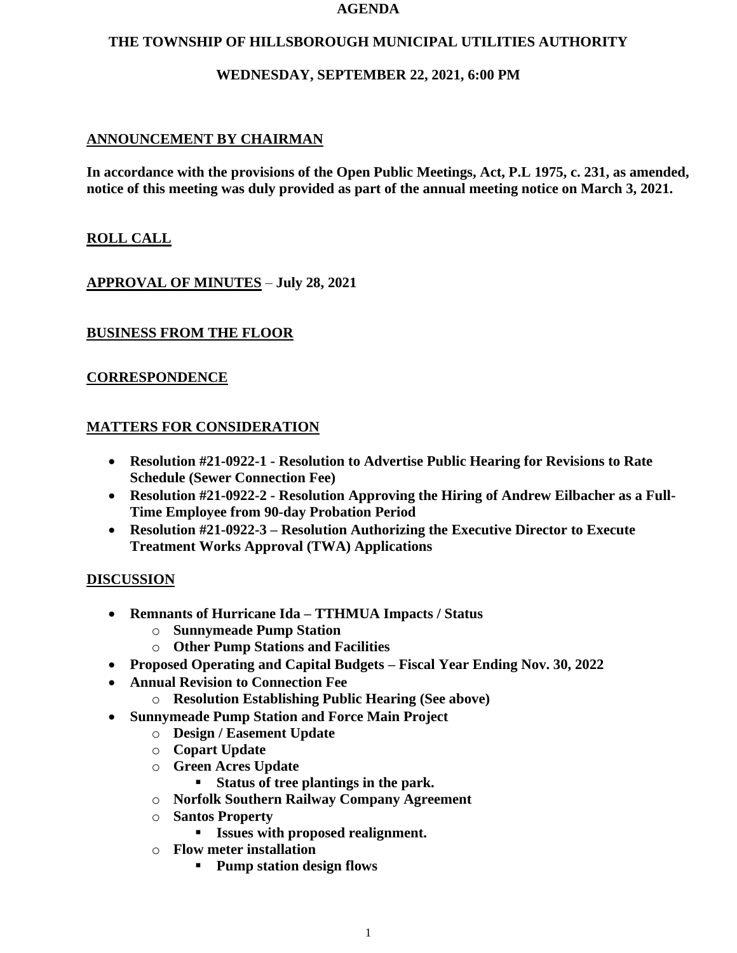#### **AGENDA**

### **THE TOWNSHIP OF HILLSBOROUGH MUNICIPAL UTILITIES AUTHORITY**

## **WEDNESDAY, SEPTEMBER 22, 2021, 6:00 PM**

## **ANNOUNCEMENT BY CHAIRMAN**

**In accordance with the provisions of the Open Public Meetings, Act, P.L 1975, c. 231, as amended, notice of this meeting was duly provided as part of the annual meeting notice on March 3, 2021.**

## **ROLL CALL**

**APPROVAL OF MINUTES** – **July 28, 2021**

### **BUSINESS FROM THE FLOOR**

## **CORRESPONDENCE**

### **MATTERS FOR CONSIDERATION**

- **Resolution #21-0922-1 - Resolution to Advertise Public Hearing for Revisions to Rate Schedule (Sewer Connection Fee)**
- **Resolution #21-0922-2 - Resolution Approving the Hiring of Andrew Eilbacher as a Full-Time Employee from 90-day Probation Period**
- **Resolution #21-0922-3 – Resolution Authorizing the Executive Director to Execute Treatment Works Approval (TWA) Applications**

### **DISCUSSION**

- **Remnants of Hurricane Ida – TTHMUA Impacts / Status**
	- o **Sunnymeade Pump Station**
	- o **Other Pump Stations and Facilities**
- **Proposed Operating and Capital Budgets – Fiscal Year Ending Nov. 30, 2022**
- **Annual Revision to Connection Fee**
	- o **Resolution Establishing Public Hearing (See above)**
- **Sunnymeade Pump Station and Force Main Project**
	- o **Design / Easement Update**
	- o **Copart Update**
	- o **Green Acres Update**
		- **Status of tree plantings in the park.**
	- o **Norfolk Southern Railway Company Agreement**
	- o **Santos Property**
		- **Issues with proposed realignment.**
	- o **Flow meter installation**
		- **Pump station design flows**